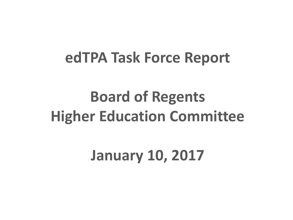# **edTPA Task Force Report**

# **Board of Regents Higher Education Committee**

# **January 10, 2017**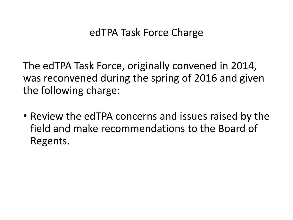# edTPA Task Force Charge

The edTPA Task Force, originally convened in 2014, was reconvened during the spring of 2016 and given the following charge:

• Review the edTPA concerns and issues raised by the field and make recommendations to the Board of Regents.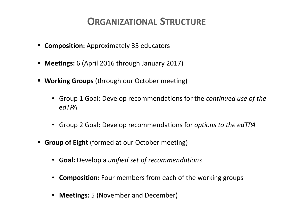### **ORGANIZATIONAL STRUCTURE**

- **Composition:** Approximately 35 educators
- **Meetings:** 6 (April 2016 through January 2017)
- **Working Groups** (through our October meeting)
	- Group 1 Goal: Develop recommendations for the *continued use of the edTPA*
	- Group 2 Goal: Develop recommendations for *options to the edTPA*
- **Group of Eight** (formed at our October meeting)
	- **Goal:** Develop a *unified set of recommendations*
	- **Composition:** Four members from each of the working groups
	- **Meetings:** 5 (November and December)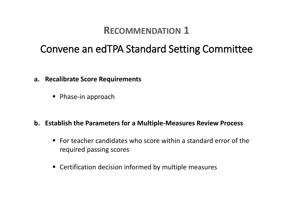## Convene an edTPA Standard Setting Committee

- **a. Recalibrate Score Requirements**
	- Phase-in approach
- **b. Establish the Parameters for a Multiple-Measures Review Process**
	- For teacher candidates who score within a standard error of the required passing scores
	- Certification decision informed by multiple measures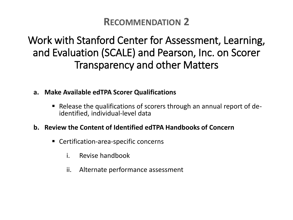Work with Stanford Center for Assessment, Learning, and Evaluation (SCALE) and Pearson, Inc. on Scorer Transparency and other Matters

#### **a. Make Available edTPA Scorer Qualifications**

 Release the qualifications of scorers through an annual report of deidentified, individual-level data

#### **b. Review the Content of Identified edTPA Handbooks of Concern**

- Certification-area-specific concerns
	- i. Revise handbook
	- ii. Alternate performance assessment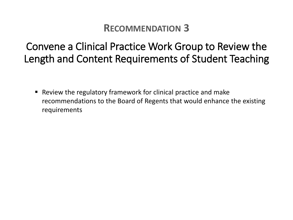Convene a Clinical Practice Work Group to Review the Length and Content Requirements of Student Teaching

 Review the regulatory framework for clinical practice and make recommendations to the Board of Regents that would enhance the existing requirements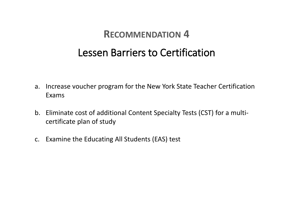# **RECOMMENDATION 4** Lessen Barriers to Certification

- a. Increase voucher program for the New York State Teacher Certification Exams
- b. Eliminate cost of additional Content Specialty Tests (CST) for a multicertificate plan of study
- c. Examine the Educating All Students (EAS) test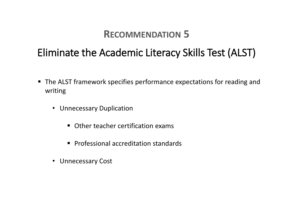# Eliminate the Academic Literacy Skills Test (ALST)

- The ALST framework specifies performance expectations for reading and writing
	- Unnecessary Duplication
		- **Other teacher certification exams**
		- **Professional accreditation standards**
	- Unnecessary Cost